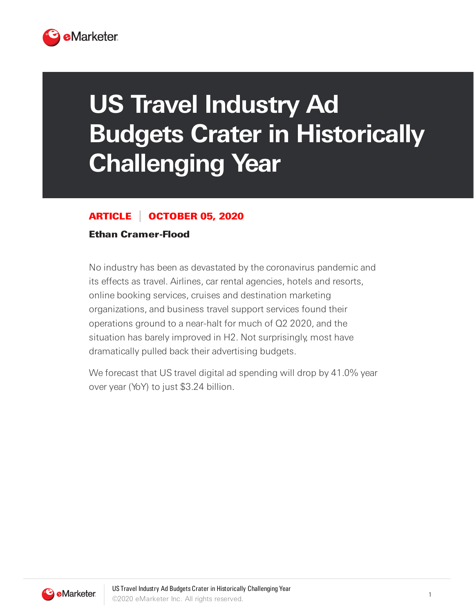

## **US Travel Industry Ad Budgets Crater in Historically Challenging Year**

## ARTICLE OCTOBER 05, 2020

## Ethan Cramer-Flood

No industry has been as devastated by the coronavirus pandemic and its effects as travel. Airlines, car rental agencies, hotels and resorts, online booking services, cruises and destination marketing organizations, and business travel support services found their operations ground to a near-halt for much of Q2 2020, and the situation has barely improved in H2. Not surprisingly, most have dramatically pulled back their advertising budgets.

We forecast that US travel digital ad spending will drop by 41.0% year over year (YoY) to just \$3.24 billion.

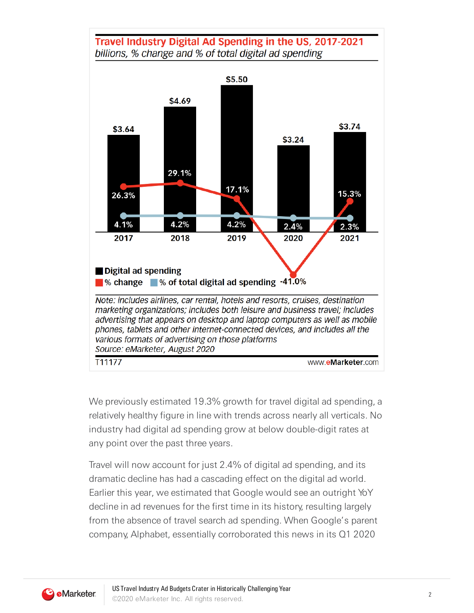

We previously estimated 19.3% growth for travel digital ad spending, a relatively healthy figure in line with trends across nearly all verticals. No industry had digital ad spending grow at below double-digit rates at any point over the past three years.

Travel will now account for just 2.4% of digital ad spending, and its dramatic decline has had a cascading effect on the digital ad world. Earlier this year, we estimated that Google would see an outright YoY decline in ad revenues for the first time in its history, resulting largely from the absence of travel search ad spending. When Google's parent company, Alphabet, essentially corroborated this news in its Q1 2020

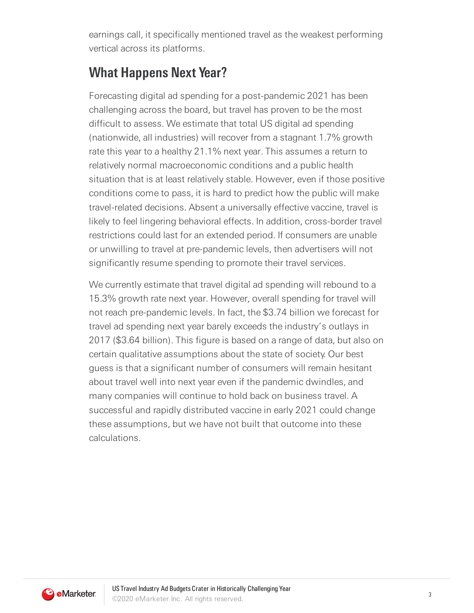earnings call, it specifically mentioned travel as the weakest performing vertical across its platforms.

## **What Happens Next Year?**

Forecasting digital ad spending for a post-pandemic 2021 has been challenging across the board, but travel has proven to be the most difficult to assess. We estimate that total US digital ad spending (nationwide, all industries) will recover from a stagnant 1.7% growth rate this year to a healthy 21.1% next year. This assumes a return to relatively normal macroeconomic conditions and a public health situation that is at least relatively stable. However, even if those positive conditions come to pass, it is hard to predict how the public will make travel-related decisions. Absent a universally effective vaccine, travel is likely to feel lingering behavioral effects. In addition, cross-border travel restrictions could last for an extended period. If consumers are unable or unwilling to travel at pre-pandemic levels, then advertisers will not significantly resume spending to promote their travel services.

We currently estimate that travel digital ad spending will rebound to a 15.3% growth rate next year. However, overall spending for travel will not reach pre-pandemic levels. In fact, the \$3.74 billion we forecast for travel ad spending next year barely exceeds the industry's outlays in 2017 (\$3.64 billion). This figure is based on a range of data, but also on certain qualitative assumptions about the state of society. Our best guess is that a significant number of consumers will remain hesitant about travel well into next year even if the pandemic dwindles, and many companies will continue to hold back on business travel. A successful and rapidly distributed vaccine in early 2021 could change these assumptions, but we have not built that outcome into these calculations.